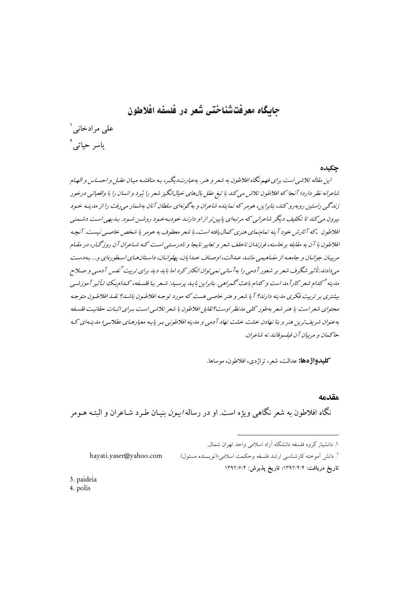# حایگاه معرفتشناختی شعر در فلسفه افلاطون

علی مرادخانی ` ۔<br>باسر حیات*ے* '

#### حكىدە

این مقاله تلاشی است برای فهم نگاه افلاطون به شعر و هنر. بهعبارتدیگر، بـه مناقشـه میـان عقـل و احسـاس و الهـام شاعرانه نظر دارد؛ آنجا که افلاطون تلاش می کند با تیغ عقل بالهای خیالانگیز شعر را بُبرد و انسان را با واقعیاتی درخور زندگی راستین روبه رو کند، بنابراین، هومر که نماینده شاعران و به گونهای سلطان آنان بهشمار می رفت را از مدینیه خیود بیرون می کند تا تکلیف دیگر شاعرانی که مرتبهای پایین تر از او دارنید خودبه حود روشس شود. بیدیهی است دشمنی افلاطون \_که آثارش خود آینه تمام مای هنری کمال بافته است\_با شعر معطوف به هومر یا شخص خاصبی نیست. آنچه افلاطون با آن به مقابله برخاسته، فرزندان ناخلف شعر و تعابیر نابجا و نادرسته است کـه شـاعران آن روزگـار، در مقـام مرسان جوانیان و جامعیه از مفیاهیمه باننید عبدالت، اوصیاف خیدابان، پهلوانیان، داستان هیای اسطو رهای و… به دست مپیدادند.تأثیر شگرف شعر بر شعور آدمی را به آسانیی نمپی توان انکار کرد اما باید دید برای تربیت <sup>۳</sup>نفس آدمی و صلاح مدینه <sup>اس</sup> کدام شعر کارآمد است و کدام باعث گـهراهبی. بنابراین با پـد پرسـید: شـعر پـا فلسـفه، کـدام پـک تـأنی<sub>ب</sub>ر آموزشـپ بیشتری بر تربیت فکری مدینه دارند؟ آ یا شعر و هنر خاصی هست که مورد توجه افلاطون باشد؟ نقبد افلاطون متوجه محتوای شعر است یا هنر شعر بهطور کلبی مانظر اوست؟ تقابل افلاطون با شعر تلاشی است بیرای اثبات حقانیت فلسفه بهعنوان شریف ترین هنر و بنا نهادن حشت خشت نهاد آدمه و مدینه افلاطونبی بیر پایه معبارهـای عقلانبه ؛ مدینهای کـه حاكيمان و مريبان آن فيلسوفانند نه شاعران.

**كليدواژهها:** عدالت، شعر، تراژدي، افلاطون، موساها.

#### مقدمه

نگاه افلاطون به شعر نگاه<sub>ی</sub> ویژه است. او در رساله *ایـون* بنیـان طـرد شـاعران و البتـه هـومر

٬ دانش آموخته کارشناسی ارشد فلسفه وحکمت اسلامی؛(نویسنده مسئول)

hayati.yaser@yahoo.com

تاريخ دريافت: ١٣٩٢/٤/٢)؛ تاريخ يذيرش: ١٣٩٢/۶/۴

3. paideia

4. polis

١. دانشبار گروه فلسفه دانشگاه آزاد اسلامی واحد تهران شمال.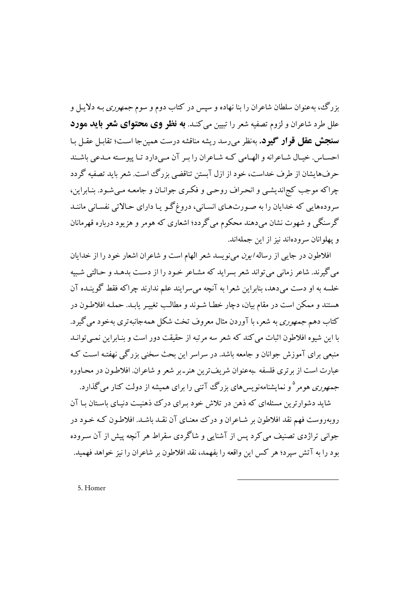بزرگ، بهعنوان سلطان شاعران را بنا نهاده و سپس در کتاب دوم و سوم *جمهوری* بـه دلایـل و علل طرد شاعران و لزوم تصفیه شعر را تبیین می کنـد. **به نظر وی محتوای شعر باید مورد سنجش عقل قرار گیرد.** بهنظر می رسد ریشه مناقشه درست همین جا است؛ تقابل عقبل بیا احسـاس. خيـال شـاعرانه و الهـامي كـه شـاعران را بـر آن مـىدارد تـا پيوسـته مـدعى باشـند حرفهایشان از طرف خداست، خود از ازل آبستن تناقضی بزرگ است. شعر باید تصفیه گردد چراکه موجب کجراندیشبی و انحیراف روحبی و فکیری جوانیان و جامعیه مبی شبود. بنیایراین، سرودههایی که خدایان را به صورتهای انسانی، دروغ گـو یـا دارای حـالاتی نفسـانی ماننـد گرسنگي و شهوت نشان مي دهند محکوم مي گردد؛ اشعاري که هومر و هزيود درباره قهرمانان و یهلوانان سرودهاند نیز از این جملهاند.

افلاطون در جایی از رساله *ایون می نویسد شعر الهام است و شاعران اشعار خو*د را از خدایان مي گيرند. شاعر زماني مي تواند شعر بسرايد كه مشـاعر خـود را از دسـت بدهـد و حـالتي شـبيه خلسه به او دست می دهد، بنابراین شعرا به آنچه می سرایند علم ندارند چراکه فقط گوینـده آن هستند و ممکن است در مقام بیان، دچار خطـا شـوند و مطالـب تغییـر پایـد. حملـه افلاطـون در کتاب دهم *جمهوري* به شعر، با آوردن مثال معروف تخت شکل همهجانبه تري بهخود مي گيرد. یا این شیوه افلاطون اثبات می کند که شعر سه مرتبه از حقیقت دور است و بنـابراین نمـی توانـد منبعي براي آموزش جوانان و جامعه باشد. در سراسر اين بحث سخني بزرگي نهفتـه اسـت كـه عبارت است از بر تری فلسفه بهعنوان شریفترین هنر-بر شعر و شاعران. افلاطـون در محـاوره *جمهوری ه*ومر<sup>۵</sup>و نمایشنامهنویس های بزرگ آتنی را برای همیشه از دولت کنار میگذارد.

شاید دشوارترین مسئلهای که ذهن در تلاش خود بـرای درک ذهنیـت دنیـای باسـتان بـا آن روبهروست فهم نقد افلاطون بر شـاعران و درك معنـاي آن نقـد باشـد. افلاطـون كـه خـود در جوانی تراژدی تصنیف می کرد پس از آشنایی و شاگردی سقراط هر آنچه پیش از آن سـروده بود را به آتش سیرد؛ هر کس این واقعه را بفهمد، نقد افلاطون بر شاعران را نیز خواهد فهمید.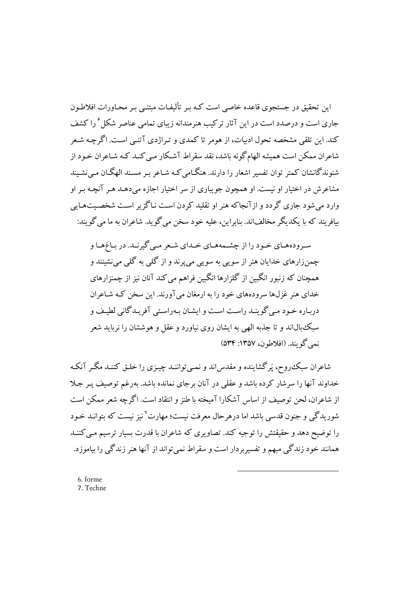این تحقیق در جستجوی قاعده خاصی است کـه پیر تألیفـات میتنـی پیر محباورات افلاطـون جاری است و درصدد است در این آثار ترکیب هنرمندانه زیبای تمامی عناصر شکل ٔ را کشف کند. این تلقی مشخصه تحول ادبیات، از هومر تا کمدی و تـراژدی آتنـی اسـت. اگرچـه شـعر شاعران ممکن است همیشه الهامگونه باشد، نقد سقراط آشکار مبی کنـد کـه شـاعران خـود از شنوندگانشان کمتر توان تفسیر اشعار را دارند. هنگامی کـه شـاعر بـر مسـند الهگـان مـی نشـیند مشاعرش در اختیار او نیست. او همچون جویباری از سر اختیار اجازه میدهـد هـر آنچـه بـر او وارد می شود جاری گردد و از آنجاکه هنر او تقلید کردن است نباگز بر است شخصیتهبایی بيافريند كه يا يكديگر مخالفاند. بنابراين، عليه خود سخن مي گويد. شاعران به ما مي گويند:

سـرودههـاي خـود را از چشـمههـاي خـداي شـعر مـي گيرنـد. در بـاغهـا و چمنزارهای خدایان هنر از سویی به سویی میپرند و از گلی به گلی می نشینند و همچنان که زنبور انگبین از گلزارها انگبین فراهم می کند آنان نیز از چمنزارهای خدای هنر غزلها سرودههای خود را به ارمغان می آورند. این سخن کـه شـاعران دربـاره خـود مـي گوينـد راسـت اسـت و ايشـان بـهراسـتي آفريـدگاني لطيـف و سبک بال اند و تا جذبه الهی به ایشان روی نیاورد و عقل و هوششان را نرباید شعر نمي گو بند. (افلاطون، ١٣٥٧: ٥٣۴)

شاعران سبک٬روح٬ پَر گشاینده و مقدس اند و نمبی تواننـد چیـزی را خلـق کننـد مگـر آنکـه خداوند آنها را سرشار کرده باشد و عقلی در آنان برجای نمانده باشد. بهرغم توصیف پـر جـلا از شاعران، لحن توصيف از اساس آشكارا آميخته با طنز و انتقاد است. اگرچه شعر ممكن است شوریدگی و جنون قدسی باشد اما درهرحال معرفت نیست؛ مهارت<sup>۷</sup>نیز نیست که بتوانـد خـود را توضیح دهد و حقیقتش را توجیه کند. تصاویری که شاعران با قدرت بسیار ترسیم مبی کننـد همانند خود زندگی مبهم و تفسیربردار است و سقراط نمی تواند از آنها هنر زندگی را بیاموزد.

6. forme 7. Techne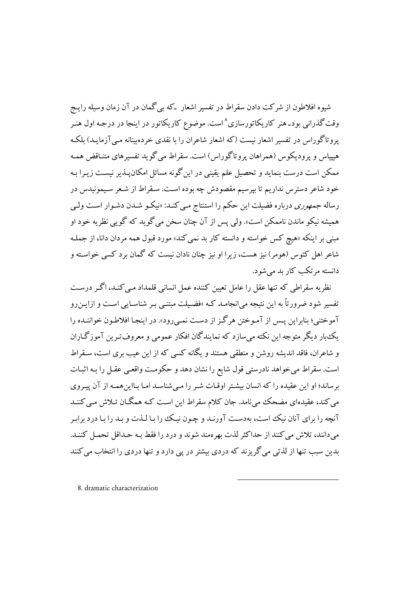شیوه افلاطون از شرکت دادن سقراط در تفسیر اشعار که بی گمان در آن زمان وسیله رایـج وقت گذرانی بودـ هنر کاریکاتورسازی^است. موضوع کاریکاتور در اینجا در درجـه اول هنـر یروتاگوراس در تفسیر اشعار نیست (که اشعار شاعران را با نقدی خردهبینانه مبی آزمایـد) بلکـه هیپیاس و پرودیکوس (همراهان پروتاگوراس) است. سقراط می گوید تفسیرهای متنـاقض همـه ممکن است درست بنماید و تحصیل علم یقینی در این گونه مسائل امکان پـذیر نیسـت زیـرا بـه .<br>خود شاعر دسترس نداریم تا بپرسیم مقصودش چه بوده است. سـقراط از شـعر سـیمونیدس در رساله *جمهوري* درباره فضيلت اين حكم را استنتاج مي كنـد: «نيكـو شـدن دشـوار اسـت ولـي هميشه نيكو ماندن ناممكن است». ولي يس از آن چنان سخن مي گويد كه گويي نظريه خود او مبنی بر اینکه «هیچ کس خواسته و دانسته کار بد نمی کند» مورد قبول همه مردان دانا، از جملـه شاعر اهل کئوس (هومر) نيز هست، زيرا او نيز چنان نادان نيست که گمان برد کسي خواسـته و دانسته مرتکب کار بد می شود.

نظریه سقراطی که تنها عقل را عامل تعیین کننده عمل انسانی قلمداد مبی کنـد، اگـر درسـت تفسیر شود ضرورتاً به این نتیجه می|نجامـد کـه «فضـیلت مبتنـی بـر شناسـایی اسـت و ازایـن رو آموختني؛ بنابراين يـس از آمـوختن هرگـز از دسـت نمـي رود». در اينجـا افلاطـون خواننـده را یک بار دیگر متوجه این نکته میسازد که نمایندگان افکار عمومی و معروف تـرین آموزگـاران و شاعران، فاقد اندیشه روشن و منطقی هستند و یگانه کسی که از این عیب بری است، سـقراط است. سقراط میخواهد نادرستی قول شایع را نشان دهد و حکومت واقعبی عقـل را بـه اثبـات برساند؛ او این عقیده را که انسان بیشتر اوقـات شـر را مـی شناسـد امـا بـااین همـه از آن پیـروی می کند، عقیدهای مضحک میiامد. جان کلام سقراط این است کـه همگـان تـلاش مـی کننـد آنچه را برای آنان نیک است، بهدست آورنـد و چـون نیـک را بـا لـذت و بـد را بـا درد برابـر مر دانند، تلاش مر کنند از حداکثر لذت بهرومند شوند و در د را فقط به حیداقل تحمیل کننید. بدین سبب تنها از لذتی می گریزند که دردی بیشتر در پی دارد و تنها دردی را انتخاب می کنند

8. dramatic characterization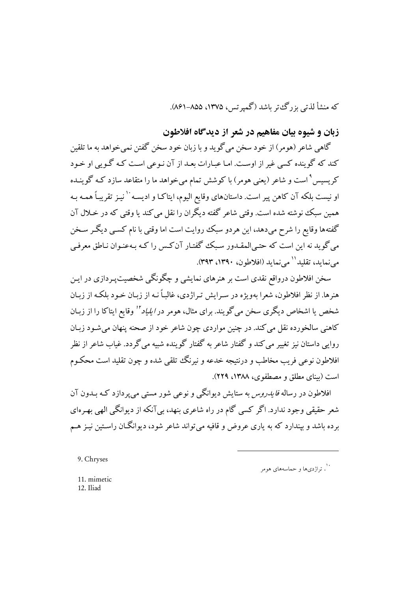که منشأ لذتي يز رگءتر باشد (گمبرتس، ۱۳۷۵، ۸۵۵–۸۶۱).

زبان و شیوه بیان مفاهیم در شعر از دیدگاه افلاطون

گاهي شاعر (هومر) از خود سخن مي گويد و با زبان خود سخن گفتن نمي خواهد به ما تلقين کند که گوینده کسی غیر از اوست. امـا عبـارات بعـد از آن نـوعی اسـت کـه گـو بی او خـود کریسیس ْ است و شاعر (یعنی هومر) با کوشش تمام می خواهد ما را متقاعد سازد کـه گوینـده او نيست بلكه آن كاهن پير است. داستانهاي وقايع اليوم، ايتاكـا و اديسـه`` نيـز تقريبـاً همـه بـه همين سبك نوشته شده است. وقتي شاعر گفته ديگران را نقل مي كند يا وقتي كه در خـلال آن گفتهها وقایع را شرح میدهد، این هردو سبک روایت است اما وقتی با نام کسبی دیگر سخن می گوید نه این است که حتبی المقـدور سـبک گفتـار آن کـس را کـه بـهعنـوان نـاطق معرفـی مي نمايد، تقليد `` مي نمايد (افلاطون، ١٣٩٠، ٣٩٣).

سخن افلاطون درواقع نقدی است بر هنرهای نمایشی و چگونگی شخصیتپـردازی در ایـن هنرها. از نظر افلاطون، شعرا بهویژه در سـرایش تـراژدی، غالبـاً نـه از زبـان خـود بلکـه از زبـان شخص یا اشخاص دیگری سخن می گویند. برای مثال، هومر در *ابلیاد " و*قایع ابتاکا را از زبیان کاهنی سالخورده نقل می کند. در چنین مواردی چون شاعر خود از صحنه پنهان می شـود زبـان روایی داستان نیز تغییر می کند و گفتار شاعر به گفتار گوینده شبیه میگردد. غیاب شاعر از نظر افلاطون نوعي فريب مخاطب و درنتيجه خدعه و نيرنگ تلقي شده و چون تقليد است محكـوم است (بيناي مطلق و مصطفوي، ١٣٨٨، ٢٢٩).

افلاطون در رساله *فایدروس* به ستایش دیوانگے و نوعے شور مستے مے پردازد کـه بــدون آن شعر حقیقی وجود ندارد. اگر کسی گام در راه شاعری بنهد، بی آنکه از دیوانگی الهی بهـرهای برده باشد و بیندارد که به پاری عروض و قافیه می تواند شاعر شود، دیوانگــان راسـتین نیـز هــم

<sup>9.</sup> Chryses

۰۰<br>۰۰ ـ تراژدي ها و حماسههاي هومر

<sup>11.</sup> mimetic 12. Iliad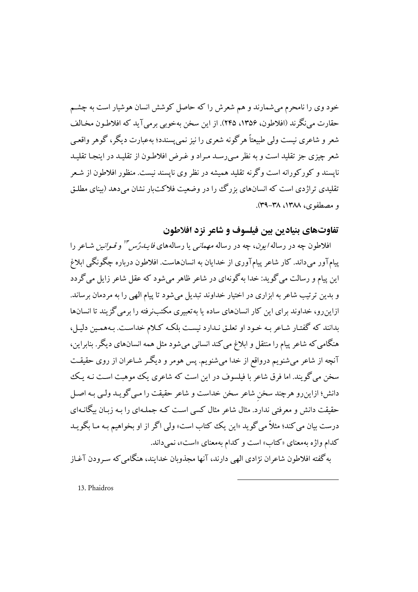خود وی را نامحرم می شمارند و هم شعرش را که حاصل کوشش انسان هوشیار است به چشـم حقارت مي نگر ند (افلاطون، ۱۳۵۶، ۲۴۵). از اين سخن بهخوبي برمي آيد كه افلاطون مخـالف شعر و شاعري نيست ولي طبيعتاً هرگو نه شعري را نيز نمي پسندد؛ بهعبارت ديگر، گوهر واقعـي شعر چیزی جز تقلید است و به نظر مبی رسـد مـراد و غـرض افلاطـون از تقلیـد در اینجـا تقلیـد نایسند و کورکورانه است وگرنه تقلید همیشه در نظر وی نایسند نیست. منظور افلاطون از شـعر تقلیدی تراژدی است که انسانهای بزرگ را در وضعیت فلاکتبار نشان می دهد (بینای مطلـق و مصطفوي، ١٣٨٨، ٣٨-٣٩).

## تفاوتهاي بنيادين بين فيلسوف و شاعر نزد افلاطون

افلاطون چه در رساله *ایون*، چه در رساله *مهمانی* یا رسالههای *فایـدرُس'" و قـوانین* شـاعر را پیامآور میداند. کار شاعر پیامآوری از خدایان به انسانهاست. افلاطون درباره چگونگی ابلاغ این پیام و رسالت می گوید: خدا به گونهای در شاعر ظاهر می شود که عقل شاعر زایل می گردد و بدین ترتیب شاعر به ابزاری در اختیار خداوند تبدیل میشود تا پیام الهی را به مردمان برساند. ازاین رو، خداوند برای این کار انسانهای ساده با به تعبیری مکتبنرفته را برمی گزیند تا انسانها بدانند که گفتـار شـاعر بـه خـود او تعلـق نـدارد نبسـت بلکـه کـلام خداسـت. بـههمـين دليـل، هنگامی که شاعر پیام را منتقل و ابلاغ می کند انسانی میشود مثل همه انسانهای دیگر. بنابراین، آنچه از شاعر میشنویم درواقع از خدا میشنویم. پس هومر و دیگـر شـاعران از روی حقیقـت سخن می گویند. اما فرق شاعر با فیلسوف در این است که شاعری یک موهبت است نـه یـک دانش؛ ازاینِ رو هرچند سخن شاعر سخن خداست و شاعر حقیقت را مـی گویـد ولـی بـه اصـل حقیقت دانش و معرفتی ندارد. مثال شاعر مثال کسی است کـه جملـهای را بـه زبـان بیگانـهای درست بيان مي كند؛ مثلاً مي گويد «اين يك كتاب است» ولي اگر از او بخواهيم بـه مـا بگويـد کدام واژه بهمعنای «کتاب» است و کدام بهمعنای «است»، نمی داند.

به گفته افلاطون شاعران نژادي الهي دارند، آنها مجذوبان خدايند، هنگامي كه سـرودن آغـاز

13. Phaidros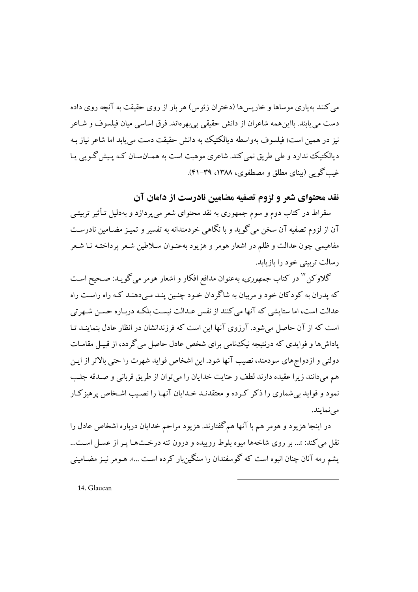می کنند به باری موساها و خار بس ها (دختران زئوس) هر بار از روی حقیقت به آنچه روی داده دست مي يابند. بااين همه شاعران از دانش حقيقي بي بهر ماند. فرق اساسي ميان فيلسوف و شـاعر نیز در همین است؛ فیلسوف بهواسطه دیالکتیک به دانش حقیقت دست می پابد اما شاعر نیاز بـه دیالکتیک ندارد و طی طریق نمی کند. شاعری موهبت است به همـانسـان کـه پـیش گـویی پـا غیب گو پی (بینای مطلق و مصطفوی، ۱۳۸۸، ۳۹-۴۱).

نقد محتوای شعر و لزوم تصفیه مضامین نادرست از دامان آن

سقراط در کتاب دوم و سوم جمهوری به نقد محتوای شعر می پردازد و بهدلیل تـأثیر تربیتـی آن از لزوم تصفيه آن سخن مي گويد و با نگاهي خردمندانه به تفسير و تميـز مضـامين نادرسـت مفاهیمی چون عدالت و ظلم در اشعار هومر و هزیود بهعنـوان سـلاطین شـعر پرداختـه تـا شـعر رسالت تربیتی خود را بازیابد.

گلاوکن<sup>۱۴</sup> در کتاب *جمهوری،* بهعنوان مدافع افکار و اشعار هومر میگویـد: صـحیح اسـت که پدران به کودکان خود و مربیان به شاگردان خـود چنـین پنـد مـیدهنـد کـه راه راسـت راه عدالت است، اما ستایشی که آنها می کنند از نفس عـدالت نیسـت بلکـه دربـاره حسـن شـهرتی است که از آن حاصل می شود. آرزوی آنها این است که فرزندانشان در انظار عادل بنماینـد تـا یاداش ها و فوایدی که درنتیجه نیک،نامی برای شخص عادل حاصل می گردد، از قبیل مقامیات دولتی و از دواجهای سودمند، نصب آنها شود. این اشخاص فواید شهرت را حتی بالاتر از این هم مي دانند زيرا عقيده دارند لطف و عنايت خدايان را مي توان از طريق قرباني و صـدقه جلـب نمود و فواید بی شماری را ذکر که ده و معتقدنید خیدایان آنها را نصیب اشـخاص پرهیز کیار مے نمایند.

در اینجا هزیود و هومر هم با آنها همگفتارند. هزیود مراحم خدایان درباره اشخاص عادل را نقل می کند: «... بر روی شاخهها میوه بلوط روییده و درون تنه درختها پـر از عسـل اسـت... یشم رمه آنان چنان انبوه است که گوسفندان را سنگین بار کرده است …». هـومر نیـز مضـامینی

14. Glaucan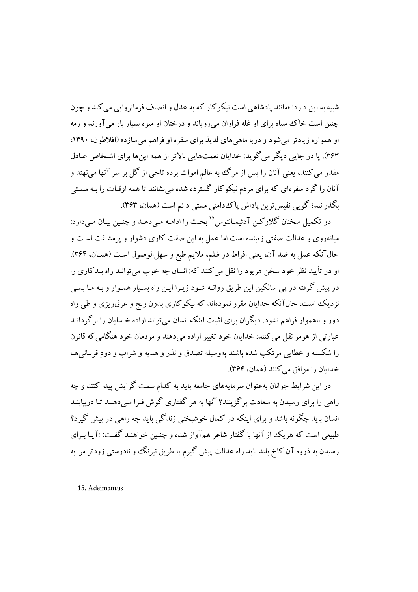شبیه به این دارد: «مانند یادشاهی است نیکوکار که به عدل و انصاف فرمانروایی می کند و چون چنین است خاک سیاه برای او غله فراوان می رویاند و درختان او میوه بسیار بار می آورند و رمه او همواره زیادتر می شود و دریا ماهی های لذیذ برای سفره او فراهم می سازد» (افلاطون، ۱۳۹۰، ۴۶۳). یا در جایی دیگر می گوید: خدایان نعمتهایی بالاتر از همه اینها برای اشـخاص عـادل مقدر مي کنند، يعني آنان را پس از مرگ به عالم اموات برده تاجي از گل بر سر آنها مي نهند و آنان را گرد سفرهای که برای مردم نیکو کار گسترده شده می نشانند تا همه اوقـات را بـه مسـتی بگذرانند؛ گویی نفیس ترین یاداش پاک دامنی مستی دائم است (همان، ۳۶۳).

در تکمیل سخنان گلاوکن آدئیمانتوس<sup>۱۵</sup> بحث را ادامـه مـی دهـد و چنـین بيـان مـی دارد: میانهروی و عدالت صفتی زیبنده است اما عمل به این صفت کاری دشوار و پرمشـقت اسـت و حالآنکه عمل به ضد آن، یعنی افراط در ظلم، ملایم طبع و سهلالوصول است (همـان، ۳۶۴). او در تأييد نظر خود سخن هزيود را نقل مي كنند كه: انسان چه خوب مي توانـد راه بـدكاري را در پیش گرفته در پی سالکین این طریق روانـه شـود زیـرا ایـن راه بسـیار همـوار و بـه مـا بسـی نزدیک است، حالآنکه خدایان مقرر نمودهاند که نیکوکاری بدون رنج و عرق ریزی و طی راه دور و ناهموار فراهم نشود. دیگران برای اثبات اینکه انسان می تواند اراده خـدایان را بر گردانـد عبارتي از هومر نقل مي كنند: خدايان خود تغيير اراده مي دهند و مردمان خود هنگامي كه قانون را شکسته و خطایبی مرتکب شده باشند بهوسیله تصدق و نذر و هدیه و شراب و دود قربیانی هیا خدایان را موافق مے کنند (همان، ۳۶۴).

در این شرایط جوانان بهعنوان سرمایههای جامعه باید به کدام سمت گرایش پیدا کنند و چه راهی را برای رسیدن به سعادت برگزینند؟ آنها به هر گفتاری گوش فـرا مـیدهنـد تـا دربیابنـد انسان باید چگونه باشد و برای اینکه در کمال خوشبختی زندگی باید چه راهی در پیش گیرد؟ طبیعی است که هر یک از آنها با گفتار شاعر همآواز شده و چنین خواهنید گفت: «آیا برای رسیدن به ذروه آن کاخ بلند باید راه عدالت پیش گیرم یا طریق نیرنگ و نادرستی زودتر مرا به

15. Adeimantus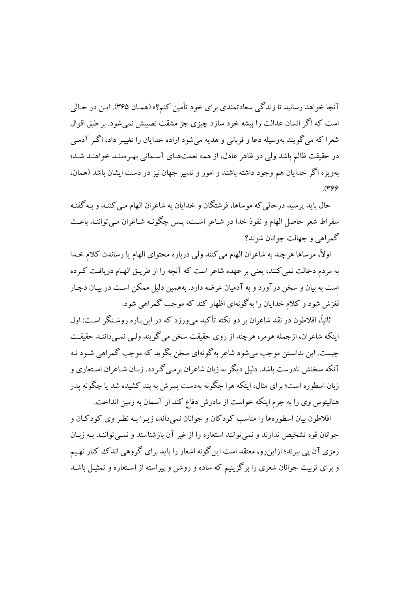آنجا خواهد رسانید تا زندگی سعادتمندی برای خود تأمین کنم؟» (همیان ۳۶۵). این در حیالی است که اگر انسان عدالت را پیشه خود سازد چیزی جز مشقت نصیبش نمی شود. بر طبق اقوال شعرا که می گویند بهوسیله دعا و قربانی و هدیه میشود اراده خدایان را تغییـر داد، اگـر آدمـی در حقیقت ظالم باشد ولی در ظاهر عادل، از همه نعمتهای آسـمانی بهـرهمنـد خواهنـد شـد؛ بهويژه اگر خدايان هم وجود داشته باشند و امور و تدبير جهان نيز در دست ايشان باشد (همان،  $.$ (۳۶۶

حال بايد پرسيد درحالي كه موساها، فرشتگان و خدايان به شاعران الهام مـي كننـد و بـه گفتـه سقراط شعر حاصل الهام و نفوذ خدا در شـاعر اسـت، پـس چگونـه شـاعران مـي تواننـد باعـث گمراهي و جهالت جوانان شوند؟

اولاً، موساها هرچند به شاعران الهام می کنند ولی درباره محتوای الهام یا رساندن کلام خـدا به مردم دخالت نمی کنند، یعنی بر عهده شاعر است که آنچه را از طریـق الهـام دریافـت کـرده است به بیان و سخن درآورد و به آدمیان عرضه دارد. بههمین دلیل ممکن است در بیـان دچـار لغزش شود و کلام خدایان را به گونهای اظهار کند که موجب گمراهی شود.

ثانیاً، افلاطون در نقد شاعران بر دو نکته تأکید می ورزد که در این بـاره روشـنگر اسـت: اول اینکه شاعران، ازجمله هومر، هرچند از روی حقیقت سخن می گویند ولی نمبی داننـد حقیقـت چیست. این ندانستن موجب می شود شاعر به گونهای سخن بگو ید که موجب گمراهی شـود نـه آنکه سخنش نادرست باشد. دلیل دیگر به زبان شاعران برمبی گـردد. زبـان شـاعران اسـتعاری و زبان اسطوره است؛ برای مثال، اینکه هرا چگونه بهدست پسرش به بند کشیده شد یا چگونه پدر هناليتوس وي را به جرم اينكه خواست از مادرش دفاع كند از آسمان به زمين انداخت.

افلاطون بیان اسطورهها را مناسب کودکان و جوانان نمی داند، زیـرا بـه نظـر وی کودکـان و جوانان قو ه تشخص ندارند و نمي توانند استعاره را از غير آن بازشناسند و نمبي تواننـد بـه زبـان رمزی آن پی ببرند؛ ازاین رو، معتقد است این گونه اشعار را باید برای گروهی اندک کنار نهیم و برای تربیت جوانان شعری را برگزینیم که ساده و روشن و پیراسته از استعاره و تمثیـل باشــد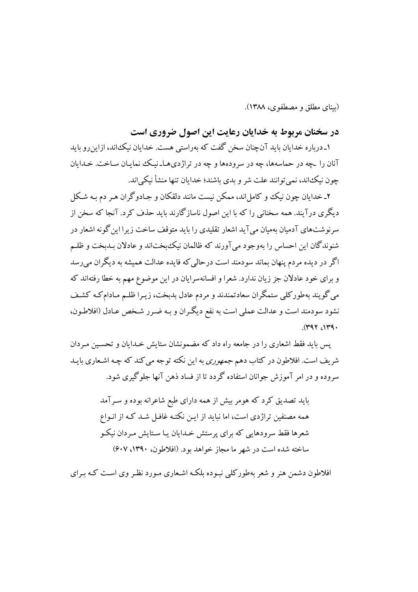(بيناي مطلق و مصطفوي، ١٣٨٨).

## در سخنان مربوط به خدایان رعایت این اصول ضروری است

۱ـ درباره خدایان باید آنچنان سخن گفت که بهراستی هست. خدایان نیک،اند، ازاین رو باید آنان را ـچه در حماسهها، چه در سرودهها و چه در تراژدیهـاـ نیـک نمایـان سـاخت. خـدایان چون نیکاند، نمی توانند علت شر و بدی باشند؛ خدایان تنها منشأ نیکی اند.

۲ـ خدایان جون نیک و کامل اند، ممکن نست مانند دلقکان و حیادو گران هی دم به شیکل دیگری درآیند. همه سخنانی را که با این اصول ناسازگارند باید حذف کرد. آنجا که سخن از سرنوشتهای آدمیان بهمیان می آید اشعار تقلیدی را باید متوقف ساخت زیرا این گونه اشعار در شنوندگان این احساس را بهوجود می آورند که ظالمان نیک بختاند و عادلان بـدبخت و ظلـم اگر در دیده مردم پنهان بماند سودمند است درحالی که فایده عدالت همیشه به دیگران می رسد و برای خود عادلان جز زیان ندارد. شعرا و افسانهسرایان در این موضوع مهم به خطا رفتهاند که می گویند بهطورکلی ستمگران سعادتمندند و مردم عادل بدبخت، زیـرا ظلـم مـادامکـه کشـف نشود سودمند است و عدالت عملي است به نفع ديگران و بـه ضـرر شـخص عـادل (افلاطـون،  $.$ (۳۹۲).  $\mathcal{M}$ 

یس باید فقط اشعاری را در جامعه راه داد که مضمونشان ستایش خـدایان و تحسـبن مـردان شریف است. افلاطون در کتاب دهم *جمهوری* به این نکته توجه می کند که چـه اشـعاری بابـد سروده و در امر آموزش جوانان استفاده گردد تا از فساد ذهن آنها جلوگیری شود.

> باید تصدیق کرد که هومر بیش از همه دارای طبع شاعرانه بوده و سـرآمد همه مصنفین تراژدی است، اما نباید از ایـن نکتـه غافـل شـد کـه از انـواع شعرها فقط سرودهایی که برای پرستش خـدایان یـا سـتایش مـردان نیکـو ساخته شده است در شهر ما مجاز خواهد بود. (افلاطون، ۱۳۹۰، ۶۰۷)

افلاطون دشمن هنر و شعر بهطورکلمی نبـوده بلکـه اشـعاری مـورد نظـر وی اسـت کـه بـرای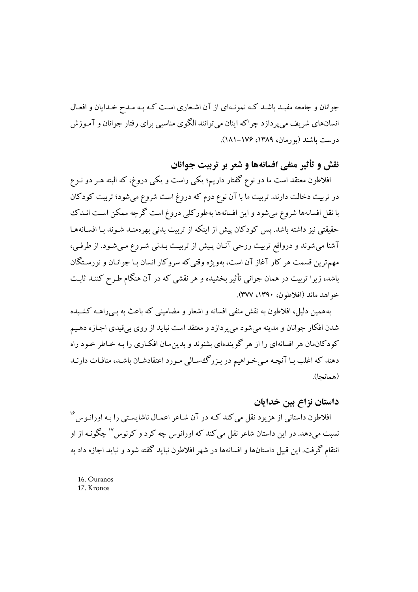جوانان و جامعه مفیـد باشـد کـه نمونـهای از آن اشـعاری اسـت کـه بـه مـدح خـدایان و افعـال انسانهای شریف می پردازد چراکه اینان می توانند الگوی مناسبی برای رفتار جوانان و آمـوزش درست باشند (بو رمان، ۱۳۸۹، ۱۷۶–۱۸۱).

## نقش و تأثير منفي افسانهها و شعر بر ترييت جوانان

افلاطون معتقد است ما دو نوع گفتار داریم؛ یکی راست و یکی دروغ، که البته هـر دو نـوع در تربیت دخالت دارند. تربیت ما با آن نوع دوم که دروغ است شروع می شود؛ تربیت کودکان با نقل افسانهها شروع می شود و این افسانهها بهطورکلی دروغ است گرچه ممکن است انــدک حقیقتی نیز داشته باشد. پس کودکان پیش از اینکه از تربیت بدنی بهرهمنـد شـوند بـا افسـانههـا آشنا می شوند و درواقع تربیت روحی آنـان پـیش از تربیـت بـدنی شـروع مـی شـود. از طرفـی، مهم ترین قسمت هر کار آغاز آن است، بهویژه وقتی که سروکار انسان بـا جوانـان و نورسـتگان باشد، زیرا تربیت در همان جوانبی تأثیر بخشیده و هر نقشی که در آن هنگام طـرح کننــد ثابـت خواهد ماند (افلاطون، ۱۳۹۰، ۳۷۷).

بههمین دلیل، افلاطون به نقش منفی افسانه و اشعار و مضامینی که باعث به بے راهــه کشـیده شدن افکار جوانان و مدینه می شود می پردازد و معتقد است نباید از روی بی قیدی اجـازه دهـیم کو دکان مان هر افسانهای را از هر گویندهای بشنوند و پدین سان افکـاری را بـه خـاطر خـود راه دهند که اغلب بـا آنچـه مـیخـواهیم در بـزرگـهسـالی مـورد اعتقادشـان باشـد، منافـات دارنـد (همانحا).

### داستان نزاع پین خدایان

افلاطون داستانی از هزیود نقل میکند کـه در آن شـاعر اعمـال ناشایسـتی را بـه اورانـوس<sup>۱۶</sup> نسبت میدهد. در این داستان شاعر نقل می کند که اورانوس چه کرد و کرنوس <sup>۱۷</sup> چگونـه از او انتقام گرفت. این قبیل داستانها و افسانهها در شهر افلاطون نباید گفته شود و نباید اجازه داد به

16. Ouranos 17. Kronos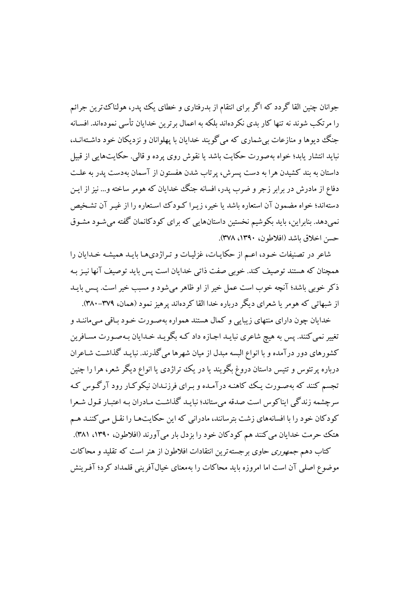جوانان چنین القا گردد که اگر برای انتقام از بدرفتاری و خطای یک یدر، هولناک ترین جرائم را مرتکب شوند نه تنها کار بدی نکردهاند بلکه به اعمال بر ترین خدایان تأسی نمودهاند. افسـانه جنگ دیوها و منازعات بی شماری که می گویند خدایان با پهلوانان و نزدیکان خود داشتهانـد، نباید انتشار یابد؛ خواه بهصورت حکایت باشد یا نقوش روی پرده و قالبی. حکایتهایی از قبیل داستان به بند کشیدن هرا به دست پسرش، پر تاب شدن هفستون از آسمان بهدست پدر به علـت دفاع از مادرش در برابر زجر و ضرب یدر، افسانه جنگ خدایان که هومر ساخته و… نیز از ایـن دستهاند؛ خواه مضمون آن استعاره باشد یا خیر، زیبرا کـودک اسـتعاره را از غیبر آن تشـخیص نمیدهد. بنابراین، باید بکوشیم نخستین داستانهایی که برای کودکانمان گفته میشود مشـوق حسن اخلاق باشد (افلاطه ن، ١٣٩٠، ٣٧٨).

شاعر در تصنیفات خـود، اعـم از حکایـات، غزلیـات و تـراژديهـا بایـد همیشـه خـدایان را همچنان که هستند توصیف کند. خوبی صفت ذاتی خدایان است پس باید توصیف آنها نیـز بـه ذکر خوبی باشد؛ آنچه خوب است عمل خیر از او ظاهر می شود و مسبب خیر است. پـس بایـد از شبهاتی که هومر یا شعرای دیگر درباره خدا القا کردهاند پرهیز نمود (همان، ۳۷۹-۳۸۰).

خدایان چون دارای منتهای زیبایی و کمال هستند همواره بهصورت خـود بـاقی مـی،ماننـد و تغییر نمی کنند. پس به هیچ شاعری نبایـد اجـازه داد کـه بگویـد خـدایان بـهصـورت مسـافرین کشورهای دور درآمده و با انواع البسه مبدل از میان شهرها میگذرند. نبایـد گذاشـت شـاعران درباره پرتئوس و تتیس داستان دروغ بگویند یا در یک تراژدی یا انواع دیگر شعر، هرا را چنین تجسم کنند که بهصورت یک کاهنـه درآمـده و بـرای فرزنـدان نیکوکـار رود آرگـوس کـه سرچشمه زندگی ایناکوس است صدقه می ستاند؛ نبایـد گذاشـت مـادران بـه اعتبـار قـول شـعرا کو دکان خود را با افسانههای زشت بترسانند، مادرانی که این حکایتهـا را نقـل مـی کننـد هـم هتک حرمت خدایان می کنند هم کودکان خود را بزدل بار می آورند (افلاطون، ۱۳۹۰، ۳۸۱).

کتاب دهم *جمهوری* حاوی بر جسته ترین انتقادات افلاطون از هنر است که تقلید و محاکات موضوع اصلی آن است اما امروزه باید محاکات را بهمعنای خیالآفرینی قلمداد کرد؛ آفـرینش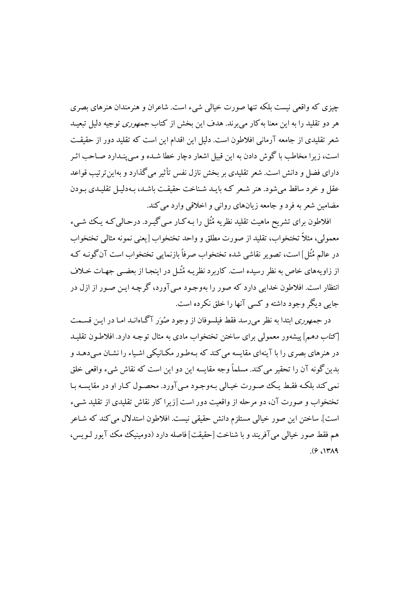چيزي كه واقعي نسبت بلكه تنها صورت خيالي شيء است. شاعران و هنرمندان هنرهاي بصري هر دو تقلید را به این معنا به کار می برند. هدف این بخش از کتاب *جمهوری* توجیه دلیل تبعیـد شعر تقلیدی از جامعه آرمانی افلاطون است. دلیل این اقدام این است که تقلید دور از حقیقت است، زیرا مخاطب با گوش دادن به این قبیل اشعار دچار خطا شـده و مـی،پنـدارد صـاحب اثـر دارای فضل و دانش است. شعر تقلیدی بر بخش نازل نفس تأثیر می گذارد و بهاین تر تیب قواعد عقل و خرد ساقط می شود. هنر شعر کـه بایـد شـناخت حقیقـت باشـد، بـهدلیـل تقلیـدی بـودن مضامین شعر به فرد و جامعه زیانهای روانی و اخلاقی وارد می کند.

افلاطون برای تشریح ماهیت تقلید نظریه مُثَل را بـه کـار مـی گیـرد. درحـالی کـه یـک شـیء معمولی، مثلاً تختخواب، تقلید از صورت مطلق و واحد تختخواب [یعنی نمونه مثالی تختخواب در عالم مُثُل]است، تصویر نقاشی شده تختخواب صرفاً مازنمایی تختخواب است آن گونیه کیه از زاویههای خاص به نظر رسیده است. کاربرد نظریـه مُثَـل در اینجـا از بعضـی جهـات خـلاف انتظار است. افلاطون خدایی دارد که صور را بهوجـود مـی آورد، گرچـه ایـن صـور از ازل در جایی دیگر وجود داشته و کسی آنها را خلق نکرده است.

در *جمهوری* ابتدا به نظر می رسد فقط فیلسوفان از وجود صُوَر آگاهانـد امـا در ایـن قسـمت [*كتاب دهم*] پیشهور معمولی برای ساختن تختخواب مادی به مثال توجـه دارد. افلاطـون تقلیـد در هنرهای بصری را با آینهای مقایسه می کند که بـهطـور مکـانیکی اشـیاء را نشـان مـی دهـد و بدین گونه آن را تحقیر می کند. مسلماً وجه مقایسه این دو این است که نقاش شیء واقعی خلق نمي كند بلكـه فقـط يـك صـورت خيـالي بـهوجـود مـي آورد. محصـول كـار او در مقايسـه بـا تختخواب و صورت آن، دو مرحله از واقعت دور است [زیرا کار نقاش تقلیدی از تقلید شبیء است]. ساختن اين صور خيالي مستلزم دانش حقيقي نيست. افلاطون استدلال مي كند كه شـاعر هم فقط صور خيالي مي آفريند و يا شناخت [حقيقت] فاصله دارد (دومينيك مكك آيور ليويس،  $(9,14)$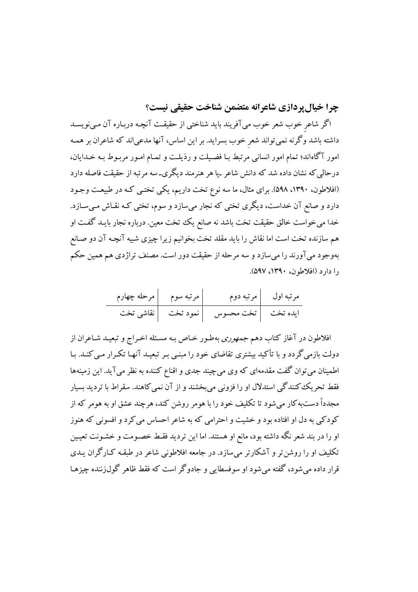چرا خیال پردازی شاعرانه متضمن شناخت حقیقی نیست؟

اگر شاعر خوب شعر خوب میآفریند باید شناختی از حقیقت آنچـه دربـاره آن مـینویسـد داشته باشد وگرنه نمیتواند شعر خوب بسراید. بر این اساس، آنها مدعیاند که شاعران بر همـه امور آگاهاند؛ تمام امور انسانی مرتبط بـا فضـیلت و رذیلـت و تمـام امـور مربـوط بـه خـدایان، درحالی که نشان داده شد که دانش شاعر ـیا هر هنرمند دیگری۔سه مرتبه از حقیقت فاصله دارد (افلاطون، ۱۳۹۰، ۵۹۸). برای مثال، ما سه نوع تخت داریم، یکی تختبی کـه در طبیعـت وجـود دارد و صانع آن خداست، دیگری تختی که نجار میسازد و سوم، تختی کـه نقـاش مـیسـازد. خدا می خواست خالق حقیقت تخت باشد نه صانع یک تخت معین. درباره نجار بایـد گفـت او هم سازنده تخت است اما نقاش را باید مقلد تخت بخوانیم زیرا چیزی شبیه آنچـه آن دو صـانع بهوجود میآورند را میسازد و سه مرحله از حقیقت دور است. مصنف تراژدی هم همین حکم را دارد (افلاطون، ۱۳۹۰، ۵۹۷).

| مرحله چهارم | <sub>ا</sub> مرتبه سوم | مرتبه دوم            | مرتبه اول |
|-------------|------------------------|----------------------|-----------|
|             | نمود تخت  نقاشی تخت    | ايده تخت   تخت محسوس |           |

افلاطون در آغاز کتاب دهم *جمهوری بهط*ور خـاص بـه مسـئله اخـراج و تبعیـد شـاعران از دولت بازمیگردد و با تأکید بیشتری تقاضای خود را مبنـی بـر تبعیـد آنهـا تکـرار مـیکنـد. بـا اطمینان می توان گفت مقدمهای که وی می چیند جدی و اقناع کننده به نظر می آید. این زمینهها فقط تحریک کنندگی استدلال او را فزونی می بخشند و از آن نمی کاهند. سقراط با تردید بسیار مجدداً دستبه کار می شود تا تکلیف خود را با هومر روشن کند، هرچند عشق او به هومر که از کودکی به دل او افتاده بود و خشیت و احترامی که به شاعر احساس می کرد و افسونی که هنوز او را در بند شعر نگه داشته بود، مانع او هستند. اما این تردید فقـط خصـومت و خشـونت تعیـین تکلیف او را روشن تر و آشکارتر می سازد. در جامعه افلاطونی شاعر در طبقـه کـارگران یـدی قرار داده می شود، گفته می شود او سوفسطایی و جادوگر است که فقط ظاهر گول(ننده چیزهـا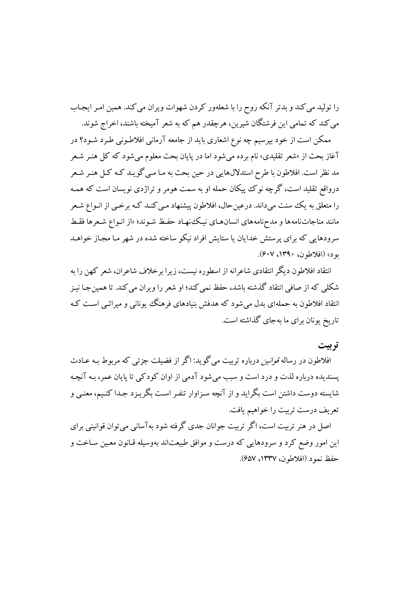را تولید می کند و بدتر آنکه روح را با شعلهور کردن شهوات ویران می کند. همین امـر ایجـاب می کند که تمامی این فرشتگان شیرین، هرچقدر هم که به شعر آمیخته باشند، اخراج شوند.

ممکن است از خود بپرسیم چه نوع اشعاری باید از جامعه آرمانی افلاطـونی طـرد شـود؟ در آغاز بحث از «شعر تقلیدی» نام برده میشود اما در پایان بحث معلوم میشود که کل هنـر شـعر مد نظر است. افلاطون با طرح استدلالهایی در حین بحث به مـا مـی گویـد کـه کـل هنـر شـعر درواقع تقلید است، گرچه نوک پیکان حمله او به سمت هومر و تراژدی نویسان است که همـه را متعلق به یک سنت میداند. درعین حال، افلاطون پیشنهاد مـی کنـد کـه برخـی از انـواع شـعر مانند مناجاتنامهها و مدحنامههای انسانهـای نیـک،نهـاد حفـظ شـوند؛ «از انـواع شـعرها فقـط سرودهایی که برای پرستش خدایان یا ستایش افراد نیکو ساخته شده در شهر مـا مجـاز خواهـد بود» (افلاطون، ۱۳۹۰، ۶۰۷).

انتقاد افلاطون دیگر انتقادی شاعرانه از اسطوره نیست، زیرا برخلاف شاعران، شعر کهن را به شکلی که از صافی انتقاد گذشته باشد، حفظ نمی کند؛ او شعر را ویران می کند. تا همین جـا نیـز انتقاد افلاطون به حملهای بدل می شود که هدفش بنیادهای فرهنگ یونانی و میراثبی است کـه تاریخ یونان برای ما بهجای گذاشته است.

### تر بیت

افلاطون در رساله *قوانین د*رباره تربیت می گوید: اگر از فضیلت جزئی که مربوط بـه عـادت یسندیده درباره لذت و درد است و سبب می شود آدمی از اوان کودکی تا پایان عمر، بـه آنچـه شایسته دوست داشتن است بگراید و از آنچه سـزاوار تنفـر اسـت بگریـزد جـدا کنـیـم، معنـی و تعريف درست تربيت را خواهيم يافت.

اصل در هنر تربیت است، اگر تربیت جوانان جدی گرفته شود به آسانی می توان قوانینی برای این امور وضع کرد و سرودهایی که درست و موافق طبیعتاند بهوسیله قـانون معـین سـاخت و حفظ نمود (افلاطون، ١٣٣٧، ٤٥٧).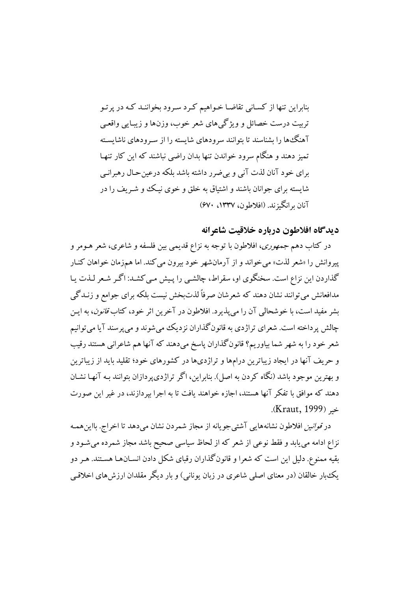بنابراین تنها از کسـانی تقاضـا خـواهیم کـرد سـرود بخواننـد کـه در پر تـو تربیت درست خصائل و ویژگیهای شعر خوب، وزنها و زیبایی واقعی آهنگ ها را بشناسند تا بتوانند سرودهای شایسته را از سـرودهای ناشایسـته تمیز دهند و هنگام سرود خواندن تنها بدان راضی نباشند که این کار تنها برای خود آنان لذت آنی و بی ضرر داشته باشد بلکه درعین حـال رهبرانـی شایسته برای جوانان باشند و اشتیاق به خلق و خوی نیک وو شهریف را در آنان برانگهزند. (افلاطون، ۱۳۳۷، ۶۷۰)

### ديدگاه افلاطون درباره خلاقيت شاعرانه

در کتاب دهم *جمهوری*، افلاطون با توجه به نزاع قدیمی بین فلسفه و شاعری، شعر هــومر و پیروانش را «شعر لذت» می خواند و از آرمانشهر خود بیرون می کند. اما همزمان خواهان کنـار گذاردن این نزاع است. سخنگوی او، سقراط، چالشـی را پـیش مـی کشـد: اگـر شـعر لـذت یـا مدافعانش میتوانند نشان دهند که شعرشان صرفاً لذتبخش نیست بلکه برای جوامع و زنـدگی بشر مفيد است، با خوشحالي آن را مي پذيرد. افلاطون در آخرين اثر خود، كتاب *قانون*، به ايـن چالش پرداخته است. شعرای تراژدی به قانون گذاران نزدیک می شوند و می پرسند آیا می توانیم شعر خود را به شهر شما بیاوریم؟ قانونگذاران یاسخ میدهند که آنها هم شاعرانی هستند رقیب و حریف آنها در ایجاد زیباترین درامها و تراژدیها در کشورهای خود؛ تقلید باید از زیباترین و بهترین موجود باشد (نگاه کردن به اصل). بنابراین، اگر تراژدی پردازان بتوانند بـه آنهـا نشـان دهند که موافق با تفکر آنها هستند، اجازه خواهند یافت تا به اجرا بیردازند، در غیر این صورت خه (Kraut, 1999).

در *قوانین* افلاطون نشانههایی آشتبیجویانه از مجاز شمردن نشان میدهد تا اخراج. بااین همـه نزاع ادامه می یابد و فقط نوعی از شعر که از لحاظ سیاسی صحیح باشد مجاز شمرده میشود و بقیه ممنوع. دلیل این است که شعرا و قانونگذاران رقبای شکل دادن انسـانهـا هسـتند. هـر دو یک،ار خالقان (در معنای اصلی شاعری در زبان بونانی) و بار دیگر مقلدان ارزش های اخلاقبی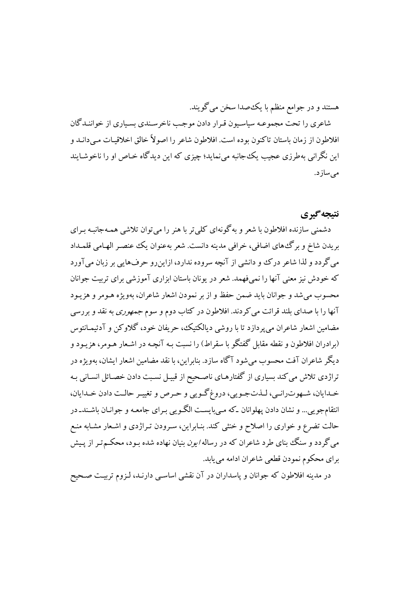هستند و در جوامع منظم با يک\$صدا سخن مي گويند.

شاعری را تحت مجموعـه سیاسـیون قـرار دادن موجـب ناخرسـندی بسـیاری از خواننـدگان افلاطون از زمان باستان تاكنون بوده است. افلاطون شاعر را اصولاً خالق اخلاقیـات مـي دانــد و این نگرانی بهطرزی عجیب یک جانبه می نماید؛ چیزی که این دیدگاه خـاص او را ناخوشـایند مى سازد.

## نتىجەگىرى

دشمنی سازنده افلاطون با شعر و به گونهای کلی تر با هنر را می توان تلاشی همـهجانبـه بـرای بريدن شاخ و برگ هاي اضافي، خرافي مدينه دانست. شعر به عنوان يک عنصـر الهـامي قلمـداد می گردد و لذا شاعر درک و دانشی از آنچه سروده ندارد، ازاین٫رو حرفهایی بر زبان میآورد که خودش نیز معنی آنها را نمی،فهمد. شعر در یونان باستان ابزاری آموزشی برای تربیت جوانان محسوب مي شد و جوانان بايد ضمن حفظ و از بر نمودن اشعار شاعران، بهويژه هـومر و هزيـود آنها را با صدای بلند قرائت می کردند. افلاطون در کتاب دوم و سوم *جمهوری* به نقد و بررسی مضامین اشعار شاعران می یردازد تا با روشی دیالکتیک، حریفان خود، گلاوکن و آدئیمـانتوس (برادران افلاطون و نقطه مقابل گفتگو با سقراط) را نسبت بـه آنچـه در اشـعار هـومر، هزیـود و ديگر شاعران آفت محسوب مي شود آگاه سازد. بنابراين، با نقد مضامين اشعار ايشان، بهويژه در تراژدی تلاش میکند بسیاری از گفتارهـای ناصـحیح از قبیـل نسـبت دادن خصـائل انسـانی بـه خدايان، شـهوترانـي، لـذتجـويي، دروغ گـويي و حـرص و تغييـر حالـت دادن خـدايان، انتقامجویی... و نشان دادن پهلوانان که میبایست الگویی بـرای جامعـه و جوانـان باشـندـ در حالت تضرع و خواری را اصلاح و خنثی کند. بنـابراین، سـرودن تـراژدی و اشـعار مشـابه منـع می گردد و سنگ بنای طرد شاعران که در رساله *ایون* بنیان نهاده شده بـود، محکـمتـر از پـیش براي محكوم نمودن قطعي شاعران ادامه مي يابد.

در مدینه افلاطون که جوانان و پاسداران در آن نقشی اساسـی دارنـد، لـزوم تربیـت صـحیح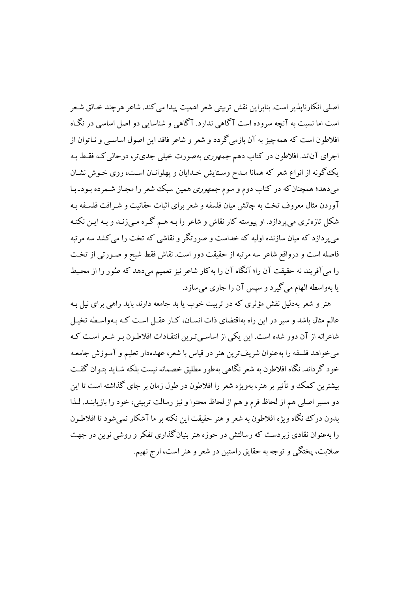اصلي انكارنايذير است. بنايراين نقش تربيتي شعر اهميت پيدا مي كند. شاعر هرچند خيالق شيعر است اما نسبت به آنچه سروده است آگاهی ندارد. آگاهی و شناسایی دو اصل اساسی در نگـاه افلاطون است که همهچیز به آن بازمی گردد و شعر و شاعر فاقد این اصول اساسبی و نـاتوان از اجرای آناند. افلاطون در کتاب دهم *جمهوری به*صورت خیلی جدیتر، درحالی کـه فقـط بـه یک گونه از انواع شعر که همانا مـدح وسـتایش خـدایان و یهلوانـان اسـت، روی خـوش نشـان میدهد؛ همچنان که در کتاب دوم و سوم *جمهوری* همین سبک شعر را مجـاز شـمرده بـودـ بـا آوردن مثال معروف تخت به چالش مبان فلسفه و شعر برای اثبات حقانیت و شـرافت فلسـفه بـه شکل تازهتری می پردازد. او پیوسته کار نقاش و شاعر را بـه هـم گـره مـی(نـد و بـه ایـن نکتـه می پردازد که میان سازنده اولیه که خداست و صورتگر و نقاشی که تخت را می کشد سه مرتبه فاصله است و درواقع شاعر سه مرتبه از حقیقت دور است. نقاش فقط شبح و صـورتی از تخـت را می آفریند نه حقیقت آن را؛ آنگاه آن را به کار شاعر نیز تعمیم می دهد که صُور را از محیط يا بهواسطه الهام مي گيرد و سپس آن را جاري ميسازد.

هنر و شعر بهدلیل نقش مؤثری که در تربیت خوب یا بد جامعه دارند باید راهبی برای نیل بـه عالم مثال باشد و سیر در این راه بهاقتضای ذات انسـان، کـار عقـل اسـت کـه بـهواسـطه تخيـل شاعرانه از آن دور شده است. این یکی از اساسی تیرین انتقیادات افلاطیون بیر شعر است کیه مي خواهد فلسفه را به عنوان شريف ترين هنر در قياس با شعر، عهدهدار تعليم و آمـوزش جامعـه خود گرداند. نگاه افلاطون به شعر نگاهی بهطور مطلبق خصمانه نیست بلکه شـاید بتـوان گفـت بیشترین کمک و تأثیر بر هنر، بهویژه شعر را افلاطون در طول زمان بر جای گذاشته است تا این دو مسير اصلي هم از لحاظ فرم و هم از لحاظ محتوا و نيز رسالت تربيتي، خود را بازيابنـد. لـذا بدون درک نگاه ویژه افلاطون به شعر و هنر حقیقت این نکته بر ما آشکار نمبی شود تا افلاطون را بهعنوان نقادی زیردست که رسالتش در حوزه هنر بنیان گذاری تفکر و روشی نوین در جهت صلابت، پختگی و توجه به حقایق راستین در شعر و هنر است، ارج نهیم.